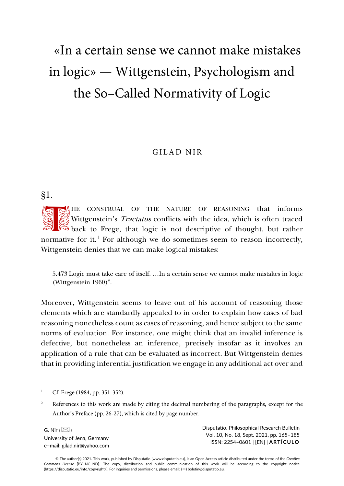# «In a certain sense we cannot make mistakes in logic» — Wittgenstein, Psychologism and the So–Called Normativity of Logic

# GILAD NIR

# §1.

HE CONSTRUAL OF THE NATURE OF REASONING that informs Wittgenstein's *Tractatus* conflicts with the idea, which is often traced Back to Frege, that logic is not descriptive of thought, but rather normative for it.<sup>[1](#page-0-0)</sup> For although we do sometimes seem to reason incorrectly, Wittgenstein denies that we can make logical mistakes:

5.473 Logic must take care of itself. …In a certain sense we cannot make mistakes in logic (Wittgenstein  $1960$ )<sup>2</sup>.

Moreover, Wittgenstein seems to leave out of his account of reasoning those elements which are standardly appealed to in order to explain how cases of bad reasoning nonetheless count as cases of reasoning, and hence subject to the same norms of evaluation. For instance, one might think that an invalid inference is defective, but nonetheless an inference, precisely insofar as it involves an application of a rule that can be evaluated as incorrect. But Wittgenstein denies that in providing inferential justification we engage in any additional act over and

<span id="page-0-0"></span><sup>1</sup> Cf. Frege (1984, pp. 351-352).

<span id="page-0-1"></span><sup>2</sup> References to this work are made by citing the decimal numbering of the paragraphs, except for the Author's Preface (pp. 26-27), which is cited by page number.

G. Nir  $(\boxtimes)$ University of Jena, Germany e–mail: gilad.nir@yahoo.com Disputatio. Philosophical Research Bulletin Vol. 10, No. 18, Sept. 2021, pp. 165–185 ISSN: 2254–0601 | [EN] | **ARTÍCULO**

© The author(s) 2021. This work, published by Disputatio [www.disputatio.eu], is an Open Access article distributed under the terms of the *Creative Commons License* [BY–NC–ND]. The copy, distribution and public communication of this work will be according to the copyright notice (https://disputatio.eu/info/copyright/). For inquiries and permissions, please email: (✉) boletin@disputatio.eu.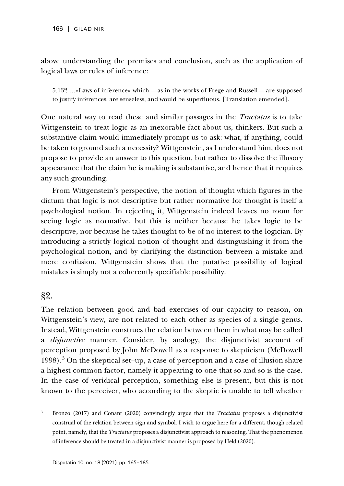above understanding the premises and conclusion, such as the application of logical laws or rules of inference:

5.132 …«Laws of inference» which —as in the works of Frege and Russell— are supposed to justify inferences, are senseless, and would be superfluous. [Translation emended].

One natural way to read these and similar passages in the Tractatus is to take Wittgenstein to treat logic as an inexorable fact about us, thinkers. But such a substantive claim would immediately prompt us to ask: what, if anything, could be taken to ground such a necessity? Wittgenstein, as I understand him, does not propose to provide an answer to this question, but rather to dissolve the illusory appearance that the claim he is making is substantive, and hence that it requires any such grounding.

From Wittgenstein's perspective, the notion of thought which figures in the dictum that logic is not descriptive but rather normative for thought is itself a psychological notion. In rejecting it, Wittgenstein indeed leaves no room for seeing logic as normative, but this is neither because he takes logic to be descriptive, nor because he takes thought to be of no interest to the logician. By introducing a strictly logical notion of thought and distinguishing it from the psychological notion, and by clarifying the distinction between a mistake and mere confusion, Wittgenstein shows that the putative possibility of logical mistakes is simply not a coherently specifiable possibility.

# §2.

The relation between good and bad exercises of our capacity to reason, on Wittgenstein's view, are not related to each other as species of a single genus. Instead, Wittgenstein construes the relation between them in what may be called a disjunctive manner. Consider, by analogy, the disjunctivist account of perception proposed by John McDowell as a response to skepticism (McDowell 1998).<sup>[3](#page-1-0)</sup> On the skeptical set–up, a case of perception and a case of illusion share a highest common factor, namely it appearing to one that so and so is the case. In the case of veridical perception, something else is present, but this is not known to the perceiver, who according to the skeptic is unable to tell whether

<span id="page-1-0"></span><sup>3</sup> Bronzo (2017) and Conant (2020) convincingly argue that the *Tractatus* proposes a disjunctivist construal of the relation between sign and symbol. I wish to argue here for a different, though related point, namely, that the *Tractatus* proposes a disjunctivist approach to reasoning. That the phenomenon of inference should be treated in a disjunctivist manner is proposed by Held (2020).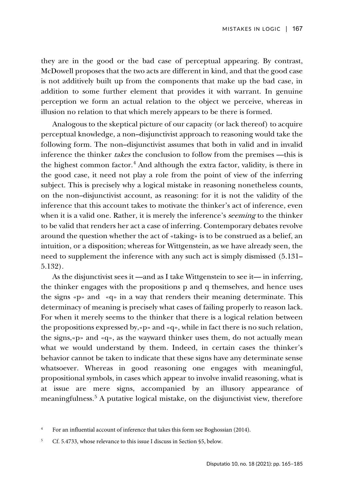they are in the good or the bad case of perceptual appearing. By contrast, McDowell proposes that the two acts are different in kind, and that the good case is not additively built up from the components that make up the bad case, in addition to some further element that provides it with warrant. In genuine perception we form an actual relation to the object we perceive, whereas in illusion no relation to that which merely appears to be there is formed.

Analogous to the skeptical picture of our capacity (or lack thereof) to acquire perceptual knowledge, a non–disjunctivist approach to reasoning would take the following form. The non–disjunctivist assumes that both in valid and in invalid inference the thinker takes the conclusion to follow from the premises —this is the highest common factor. $4$  And although the extra factor, validity, is there in the good case, it need not play a role from the point of view of the inferring subject. This is precisely why a logical mistake in reasoning nonetheless counts, on the non–disjunctivist account, as reasoning: for it is not the validity of the inference that this account takes to motivate the thinker's act of inference, even when it is a valid one. Rather, it is merely the inference's *seeming* to the thinker to be valid that renders her act a case of inferring. Contemporary debates revolve around the question whether the act of «taking» is to be construed as a belief, an intuition, or a disposition; whereas for Wittgenstein, as we have already seen, the need to supplement the inference with any such act is simply dismissed (5.131– 5.132).

As the disjunctivist sees it —and as I take Wittgenstein to see it— in inferring, the thinker engages with the propositions p and q themselves, and hence uses the signs «p» and «q» in a way that renders their meaning determinate. This determinacy of meaning is precisely what cases of failing properly to reason lack. For when it merely seems to the thinker that there is a logical relation between the propositions expressed by,«p» and «q», while in fact there is no such relation, the signs,«p» and «q», as the wayward thinker uses them, do not actually mean what we would understand by them. Indeed, in certain cases the thinker's behavior cannot be taken to indicate that these signs have any determinate sense whatsoever. Whereas in good reasoning one engages with meaningful, propositional symbols, in cases which appear to involve invalid reasoning, what is at issue are mere signs, accompanied by an illusory appearance of meaningfulness.<sup>[5](#page-2-1)</sup> A putative logical mistake, on the disjunctivist view, therefore

<span id="page-2-0"></span><sup>&</sup>lt;sup>4</sup> For an influential account of inference that takes this form see Boghossian (2014).

<span id="page-2-1"></span><sup>&</sup>lt;sup>5</sup> Cf. 5.4733, whose relevance to this issue I discuss in Section §5, below.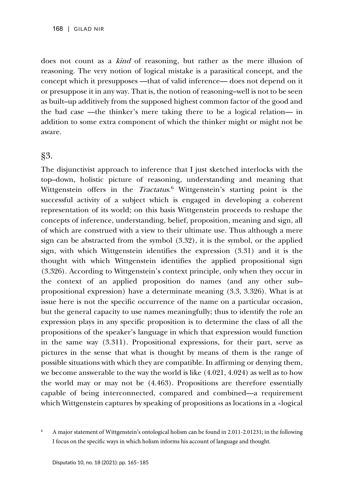does not count as a kind of reasoning, but rather as the mere illusion of reasoning. The very notion of logical mistake is a parasitical concept, and the concept which it presupposes —that of valid inference— does not depend on it or presuppose it in any way. That is, the notion of reasoning–well is not to be seen as built–up additively from the supposed highest common factor of the good and the bad case —the thinker's mere taking there to be a logical relation— in addition to some extra component of which the thinker might or might not be aware.

# §3.

The disjunctivist approach to inference that I just sketched interlocks with the top–down, holistic picture of reasoning, understanding and meaning that Wittgenstein offers in the *Tractatus*.<sup>[6](#page-3-0)</sup> Wittgenstein's starting point is the successful activity of a subject which is engaged in developing a coherent representation of its world; on this basis Wittgenstein proceeds to reshape the concepts of inference, understanding, belief, proposition, meaning and sign, all of which are construed with a view to their ultimate use. Thus although a mere sign can be abstracted from the symbol (3.32), it is the symbol, or the applied sign, with which Wittgenstein identifies the expression (3.31) and it is the thought with which Wittgenstein identifies the applied propositional sign (3.326). According to Wittgenstein's context principle, only when they occur in the context of an applied proposition do names (and any other sub– propositional expression) have a determinate meaning (3.3, 3.326). What is at issue here is not the specific occurrence of the name on a particular occasion, but the general capacity to use names meaningfully; thus to identify the role an expression plays in any specific proposition is to determine the class of all the propositions of the speaker's language in which that expression would function in the same way (3.311). Propositional expressions, for their part, serve as pictures in the sense that what is thought by means of them is the range of possible situations with which they are compatible. In affirming or denying them, we become answerable to the way the world is like (4.021, 4.024) as well as to how the world may or may not be (4.463). Propositions are therefore essentially capable of being interconnected, compared and combined—a requirement which Wittgenstein captures by speaking of propositions as locations in a «logical

<span id="page-3-0"></span><sup>6</sup> A major statement of Wittgenstein's ontological holism can be found in 2.011-2.01231; in the following I focus on the specific ways in which holism informs his account of language and thought.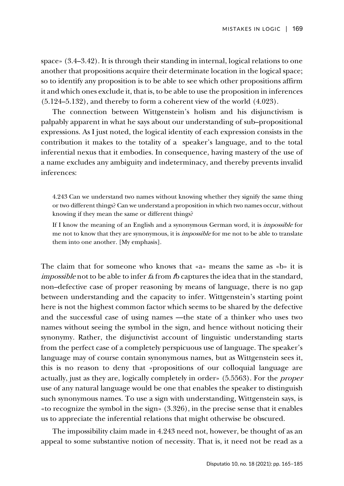space» (3.4–3.42). It is through their standing in internal, logical relations to one another that propositions acquire their determinate location in the logical space; so to identify any proposition is to be able to see which other propositions affirm it and which ones exclude it, that is, to be able to use the proposition in inferences (5.124–5.132), and thereby to form a coherent view of the world (4.023).

The connection between Wittgenstein's holism and his disjunctivism is palpably apparent in what he says about our understanding of sub–propositional expressions. As I just noted, the logical identity of each expression consists in the contribution it makes to the totality of a speaker's language, and to the total inferential nexus that it embodies. In consequence, having mastery of the use of a name excludes any ambiguity and indeterminacy, and thereby prevents invalid inferences:

4.243 Can we understand two names without knowing whether they signify the same thing or two different things? Can we understand a proposition in which two names occur, without knowing if they mean the same or different things?

If I know the meaning of an English and a synonymous German word, it is impossible for me not to know that they are synonymous, it is *impossible* for me not to be able to translate them into one another. [My emphasis].

The claim that for someone who knows that «a» means the same as «b» it is impossible not to be able to infer fa from fb captures the idea that in the standard, non–defective case of proper reasoning by means of language, there is no gap between understanding and the capacity to infer. Wittgenstein's starting point here is not the highest common factor which seems to be shared by the defective and the successful case of using names —the state of a thinker who uses two names without seeing the symbol in the sign, and hence without noticing their synonymy. Rather, the disjunctivist account of linguistic understanding starts from the perfect case of a completely perspicuous use of language. The speaker's language may of course contain synonymous names, but as Wittgenstein sees it, this is no reason to deny that «propositions of our colloquial language are actually, just as they are, logically completely in order» (5.5563). For the proper use of any natural language would be one that enables the speaker to distinguish such synonymous names. To use a sign with understanding, Wittgenstein says, is «to recognize the symbol in the sign» (3.326), in the precise sense that it enables us to appreciate the inferential relations that might otherwise be obscured.

The impossibility claim made in 4.243 need not, however, be thought of as an appeal to some substantive notion of necessity. That is, it need not be read as a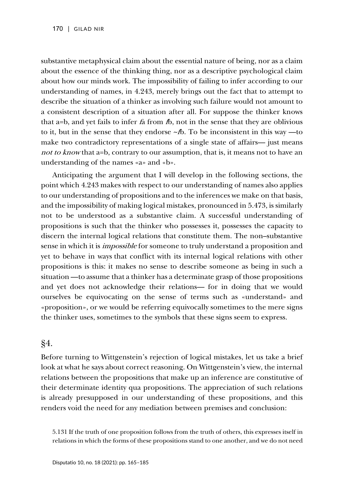substantive metaphysical claim about the essential nature of being, nor as a claim about the essence of the thinking thing, nor as a descriptive psychological claim about how our minds work. The impossibility of failing to infer according to our understanding of names, in 4.243, merely brings out the fact that to attempt to describe the situation of a thinker as involving such failure would not amount to a consistent description of a situation after all. For suppose the thinker knows that a=b, and yet fails to infer  $fa$  from  $fb$ , not in the sense that they are oblivious to it, but in the sense that they endorse  $\neg$  fb. To be inconsistent in this way —to make two contradictory representations of a single state of affairs— just means not to know that a=b, contrary to our assumption, that is, it means not to have an understanding of the names «a» and «b».

Anticipating the argument that I will develop in the following sections, the point which 4.243 makes with respect to our understanding of names also applies to our understanding of propositions and to the inferences we make on that basis, and the impossibility of making logical mistakes, pronounced in 5.473, is similarly not to be understood as a substantive claim. A successful understanding of propositions is such that the thinker who possesses it, possesses the capacity to discern the internal logical relations that constitute them. The non–substantive sense in which it is impossible for someone to truly understand a proposition and yet to behave in ways that conflict with its internal logical relations with other propositions is this: it makes no sense to describe someone as being in such a situation —to assume that a thinker has a determinate grasp of those propositions and yet does not acknowledge their relations— for in doing that we would ourselves be equivocating on the sense of terms such as «understand» and «proposition», or we would be referring equivocally sometimes to the mere signs the thinker uses, sometimes to the symbols that these signs seem to express.

## §4.

Before turning to Wittgenstein's rejection of logical mistakes, let us take a brief look at what he says about correct reasoning. On Wittgenstein's view, the internal relations between the propositions that make up an inference are constitutive of their determinate identity qua propositions. The appreciation of such relations is already presupposed in our understanding of these propositions, and this renders void the need for any mediation between premises and conclusion:

5.131 If the truth of one proposition follows from the truth of others, this expresses itself in relations in which the forms of these propositions stand to one another, and we do not need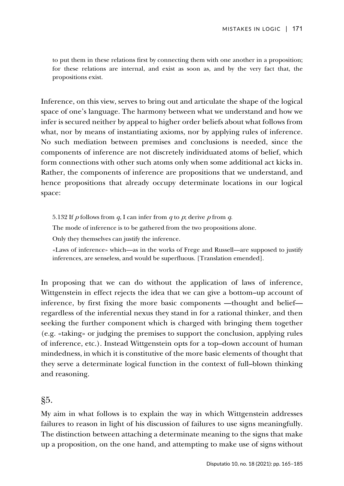to put them in these relations first by connecting them with one another in a proposition; for these relations are internal, and exist as soon as, and by the very fact that, the propositions exist.

Inference, on this view, serves to bring out and articulate the shape of the logical space of one's language. The harmony between what we understand and how we infer is secured neither by appeal to higher order beliefs about what follows from what, nor by means of instantiating axioms, nor by applying rules of inference. No such mediation between premises and conclusions is needed, since the components of inference are not discretely individuated atoms of belief, which form connections with other such atoms only when some additional act kicks in. Rather, the components of inference are propositions that we understand, and hence propositions that already occupy determinate locations in our logical space:

5.132 If p follows from q, I can infer from q to p; derive p from q.

The mode of inference is to be gathered from the two propositions alone.

Only they themselves can justify the inference.

«Laws of inference» which—as in the works of Frege and Russell—are supposed to justify inferences, are senseless, and would be superfluous. [Translation emended].

In proposing that we can do without the application of laws of inference, Wittgenstein in effect rejects the idea that we can give a bottom–up account of inference, by first fixing the more basic components —thought and belief regardless of the inferential nexus they stand in for a rational thinker, and then seeking the further component which is charged with bringing them together (e.g. «taking» or judging the premises to support the conclusion, applying rules of inference, etc.). Instead Wittgenstein opts for a top–down account of human mindedness, in which it is constitutive of the more basic elements of thought that they serve a determinate logical function in the context of full–blown thinking and reasoning.

§5.

My aim in what follows is to explain the way in which Wittgenstein addresses failures to reason in light of his discussion of failures to use signs meaningfully. The distinction between attaching a determinate meaning to the signs that make up a proposition, on the one hand, and attempting to make use of signs without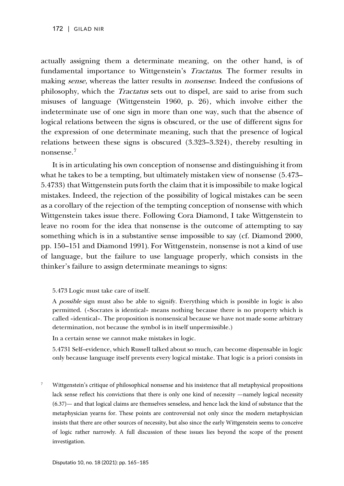actually assigning them a determinate meaning, on the other hand, is of fundamental importance to Wittgenstein's Tractatus. The former results in making *sense*, whereas the latter results in *nonsense*. Indeed the confusions of philosophy, which the Tractatus sets out to dispel, are said to arise from such misuses of language (Wittgenstein 1960, p. 26), which involve either the indeterminate use of one sign in more than one way, such that the absence of logical relations between the signs is obscured, or the use of different signs for the expression of one determinate meaning, such that the presence of logical relations between these signs is obscured (3.323–3.324), thereby resulting in nonsense.[7](#page-7-0)

It is in articulating his own conception of nonsense and distinguishing it from what he takes to be a tempting, but ultimately mistaken view of nonsense (5.473– 5.4733) that Wittgenstein puts forth the claim that it is impossibile to make logical mistakes. Indeed, the rejection of the possibility of logical mistakes can be seen as a corollary of the rejection of the tempting conception of nonsense with which Wittgenstein takes issue there. Following Cora Diamond, I take Wittgenstein to leave no room for the idea that nonsense is the outcome of attempting to say something which is in a substantive sense impossible to say (cf. Diamond 2000, pp. 150–151 and Diamond 1991). For Wittgenstein, nonsense is not a kind of use of language, but the failure to use language properly, which consists in the thinker's failure to assign determinate meanings to signs:

#### 5.473 Logic must take care of itself.

A possible sign must also be able to signify. Everything which is possible in logic is also permitted. («Socrates is identical» means nothing because there is no property which is called «identical». The proposition is nonsensical because we have not made some arbitrary determination, not because the symbol is in itself unpermissible.)

In a certain sense we cannot make mistakes in logic.

5.4731 Self–evidence, which Russell talked about so much, can become dispensable in logic only because language itself prevents every logical mistake. That logic is a priori consists in

<span id="page-7-0"></span>Wittgenstein's critique of philosophical nonsense and his insistence that all metaphysical propositions lack sense reflect his convictions that there is only one kind of necessity —namely logical necessity (6.37)— and that logical claims are themselves senseless, and hence lack the kind of substance that the metaphysician yearns for. These points are controversial not only since the modern metaphysician insists that there are other sources of necessity, but also since the early Wittgenstein seems to conceive of logic rather narrowly. A full discussion of these issues lies beyond the scope of the present investigation.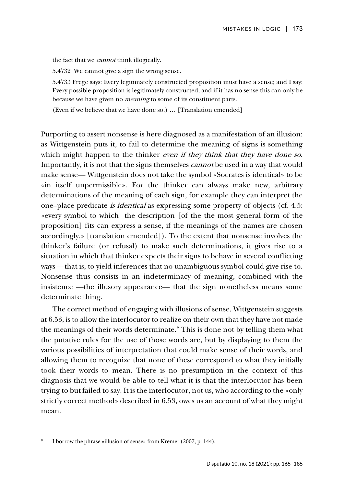the fact that we cannot think illogically.

5.4732 We cannot give a sign the wrong sense.

5.4733 Frege says: Every legitimately constructed proposition must have a sense; and I say: Every possible proposition is legitimately constructed, and if it has no sense this can only be because we have given no meaning to some of its constituent parts.

(Even if we believe that we have done so.) … [Translation emended]

Purporting to assert nonsense is here diagnosed as a manifestation of an illusion: as Wittgenstein puts it, to fail to determine the meaning of signs is something which might happen to the thinker even if they think that they have done so. Importantly, it is not that the signs themselves cannot be used in a way that would make sense— Wittgenstein does not take the symbol «Socrates is identical» to be «in itself unpermissible». For the thinker can always make new, arbitrary determinations of the meaning of each sign, for example they can interpret the one–place predicate is identical as expressing some property of objects (cf. 4.5: «every symbol to which the description [of the the most general form of the proposition] fits can express a sense, if the meanings of the names are chosen accordingly.» [translation emended]). To the extent that nonsense involves the thinker's failure (or refusal) to make such determinations, it gives rise to a situation in which that thinker expects their signs to behave in several conflicting ways —that is, to yield inferences that no unambiguous symbol could give rise to. Nonsense thus consists in an indeterminacy of meaning, combined with the insistence —the illusory appearance— that the sign nonetheless means some determinate thing.

The correct method of engaging with illusions of sense, Wittgenstein suggests at 6.53, is to allow the interlocutor to realize on their own that they have not made the meanings of their words determinate.<sup>[8](#page-8-0)</sup> This is done not by telling them what the putative rules for the use of those words are, but by displaying to them the various possibilities of interpretation that could make sense of their words, and allowing them to recognize that none of these correspond to what they initially took their words to mean. There is no presumption in the context of this diagnosis that we would be able to tell what it is that the interlocutor has been trying to but failed to say. It is the interlocutor, not us, who according to the «only strictly correct method» described in 6.53, owes us an account of what they might mean.

<span id="page-8-0"></span><sup>8</sup> I borrow the phrase «illusion of sense» from Kremer (2007, p. 144).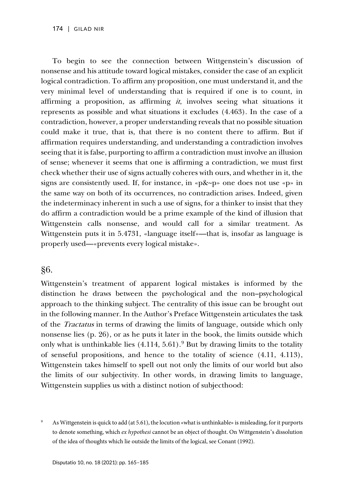To begin to see the connection between Wittgenstein's discussion of nonsense and his attitude toward logical mistakes, consider the case of an explicit logical contradiction. To affirm any proposition, one must understand it, and the very minimal level of understanding that is required if one is to count, in affirming a proposition, as affirming it, involves seeing what situations it represents as possible and what situations it excludes (4.463). In the case of a contradiction, however, a proper understanding reveals that no possible situation could make it true, that is, that there is no content there to affirm. But if affirmation requires understanding, and understanding a contradiction involves seeing that it is false, purporting to affirm a contradiction must involve an illusion of sense; whenever it seems that one is affirming a contradiction, we must first check whether their use of signs actually coheres with ours, and whether in it, the signs are consistently used. If, for instance, in «p&~p» one does not use «p» in the same way on both of its occurrences, no contradiction arises. Indeed, given the indeterminacy inherent in such a use of signs, for a thinker to insist that they do affirm a contradiction would be a prime example of the kind of illusion that Wittgenstein calls nonsense, and would call for a similar treatment. As Wittgenstein puts it in 5.4731, «language itself»—that is, insofar as language is properly used—«prevents every logical mistake».

## §6.

Wittgenstein's treatment of apparent logical mistakes is informed by the distinction he draws between the psychological and the non–psychological approach to the thinking subject. The centrality of this issue can be brought out in the following manner. In the Author's Preface Wittgenstein articulates the task of the Tractatus in terms of drawing the limits of language, outside which only nonsense lies (p. 26), or as he puts it later in the book, the limits outside which only what is unthinkable lies  $(4.114, 5.61)$ . But by drawing limits to the totality of senseful propositions, and hence to the totality of science (4.11, 4.113), Wittgenstein takes himself to spell out not only the limits of our world but also the limits of our subjectivity. In other words, in drawing limits to language, Wittgenstein supplies us with a distinct notion of subjecthood:

<span id="page-9-0"></span>As Wittgenstein is quick to add (at 5.61), the locution «what is unthinkable» is misleading, for it purports to denote something, which *ex hypothesi* cannot be an object of thought. On Wittgenstein's dissolution of the idea of thoughts which lie outside the limits of the logical, see Conant (1992).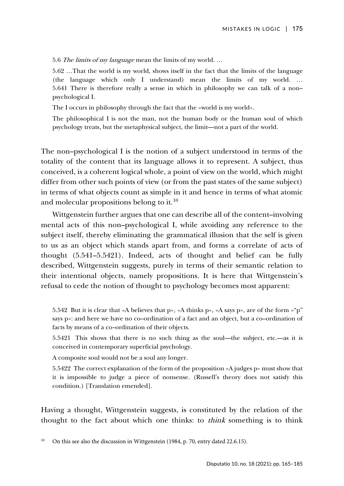5.6 The limits of my language mean the limits of my world. …

5.62 …That the world is my world, shows itself in the fact that the limits of the language (the language which only I understand) mean the limits of my world. … 5.641 There is therefore really a sense in which in philosophy we can talk of a non– psychological I.

The I occurs in philosophy through the fact that the «world is my world».

The philosophical I is not the man, not the human body or the human soul of which psychology treats, but the metaphysical subject, the limit—not a part of the world.

The non–psychological I is the notion of a subject understood in terms of the totality of the content that its language allows it to represent. A subject, thus conceived, is a coherent logical whole, a point of view on the world, which might differ from other such points of view (or from the past states of the same subject) in terms of what objects count as simple in it and hence in terms of what atomic and molecular propositions belong to it.<sup>[10](#page-10-0)</sup>

Wittgenstein further argues that one can describe all of the content–involving mental acts of this non–psychological I, while avoiding any reference to the subject itself, thereby eliminating the grammatical illusion that the self is given to us as an object which stands apart from, and forms a correlate of acts of thought (5.541–5.5421). Indeed, acts of thought and belief can be fully described, Wittgenstein suggests, purely in terms of their semantic relation to their intentional objects, namely propositions. It is here that Wittgenstein's refusal to cede the notion of thought to psychology becomes most apparent:

5.542 But it is clear that «A believes that p», «A thinks p», «A says p», are of the form «"p" says  $p$ »: and here we have no co–ordination of a fact and an object, but a co–ordination of facts by means of a co–ordination of their objects.

5.5421 This shows that there is no such thing as the soul—the subject, etc.—as it is conceived in contemporary superficial psychology.

A composite soul would not be a soul any longer.

5.5422 The correct explanation of the form of the proposition «A judges p» must show that it is impossible to judge a piece of nonsense. (Russell's theory does not satisfy this condition.) [Translation emended].

Having a thought, Wittgenstein suggests, is constituted by the relation of the thought to the fact about which one thinks: to think something is to think

<span id="page-10-0"></span><sup>&</sup>lt;sup>10</sup> On this see also the discussion in Wittgenstein (1984, p. 70, entry dated 22.6.15).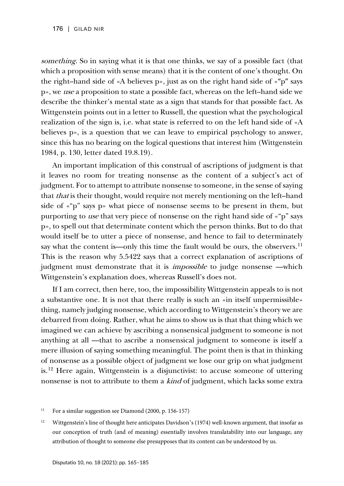something. So in saying what it is that one thinks, we say of a possible fact (that which a proposition with sense means) that it is the content of one's thought. On the right–hand side of «A believes p», just as on the right hand side of «"p" says p», we use a proposition to state a possible fact, whereas on the left–hand side we describe the thinker's mental state as a sign that stands for that possible fact. As Wittgenstein points out in a letter to Russell, the question what the psychological realization of the sign is, i.e. what state is referred to on the left hand side of «A believes p», is a question that we can leave to empirical psychology to answer, since this has no bearing on the logical questions that interest him (Wittgenstein 1984, p. 130, letter dated 19.8.19).

An important implication of this construal of ascriptions of judgment is that it leaves no room for treating nonsense as the content of a subject's act of judgment. For to attempt to attribute nonsense to someone, in the sense of saying that *that* is their thought, would require not merely mentioning on the left–hand side of «"p" says p» what piece of nonsense seems to be present in them, but purporting to use that very piece of nonsense on the right hand side of «"p" says p», to spell out that determinate content which the person thinks. But to do that would itself be to utter a piece of nonsense, and hence to fail to determinately say what the content is—only this time the fault would be ours, the observers.<sup>[11](#page-11-0)</sup> This is the reason why 5.5422 says that a correct explanation of ascriptions of judgment must demonstrate that it is *impossible* to judge nonsense —which Wittgenstein's explanation does, whereas Russell's does not.

If I am correct, then here, too, the impossibility Wittgenstein appeals to is not a substantive one. It is not that there really is such an «in itself unpermissible» thing, namely judging nonsense, which according to Wittgenstein's theory we are debarred from doing. Rather, what he aims to show us is that that thing which we imagined we can achieve by ascribing a nonsensical judgment to someone is not anything at all —that to ascribe a nonsensical judgment to someone is itself a mere illusion of saying something meaningful. The point then is that in thinking of nonsense as a possible object of judgment we lose our grip on what judgment is.[12](#page-11-1) Here again, Wittgenstein is a disjunctivist: to accuse someone of uttering nonsense is not to attribute to them a *kind* of judgment, which lacks some extra

<span id="page-11-0"></span><sup>11</sup> For a similar suggestion see Diamond (2000, p. 156-157)

<span id="page-11-1"></span><sup>12</sup> Wittgenstein's line of thought here anticipates Davidson's (1974) well-known argument, that insofar as our conception of truth (and of meaning) essentially involves translatability into our language, any attribution of thought to someone else presupposes that its content can be understood by us.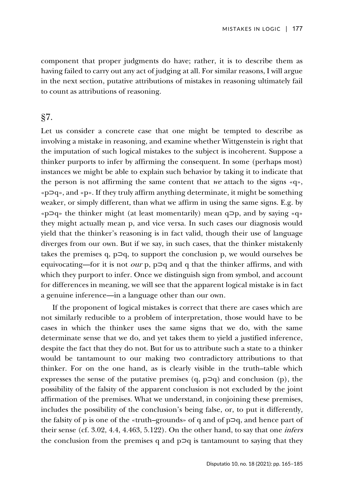component that proper judgments do have; rather, it is to describe them as having failed to carry out any act of judging at all. For similar reasons, I will argue in the next section, putative attributions of mistakes in reasoning ultimately fail to count as attributions of reasoning.

# §7.

Let us consider a concrete case that one might be tempted to describe as involving a mistake in reasoning, and examine whether Wittgenstein is right that the imputation of such logical mistakes to the subject is incoherent. Suppose a thinker purports to infer by affirming the consequent. In some (perhaps most) instances we might be able to explain such behavior by taking it to indicate that the person is not affirming the same content that we attach to the signs «q», «p⊃q», and «p». If they truly affirm anything determinate, it might be something weaker, or simply different, than what we affirm in using the same signs. E.g. by «p⊃q» the thinker might (at least momentarily) mean q⊃p, and by saying «q» they might actually mean p, and vice versa. In such cases our diagnosis would yield that the thinker's reasoning is in fact valid, though their use of language diverges from our own. But if we say, in such cases, that the thinker mistakenly takes the premises q, p⊃q, to support the conclusion p, we would ourselves be equivocating—for it is not *our* p,  $p \supset q$  and q that the thinker affirms, and with which they purport to infer. Once we distinguish sign from symbol, and account for differences in meaning, we will see that the apparent logical mistake is in fact a genuine inference—in a language other than our own.

If the proponent of logical mistakes is correct that there are cases which are not similarly reducible to a problem of interpretation, those would have to be cases in which the thinker uses the same signs that we do, with the same determinate sense that we do, and yet takes them to yield a justified inference, despite the fact that they do not. But for us to attribute such a state to a thinker would be tantamount to our making two contradictory attributions to that thinker. For on the one hand, as is clearly visible in the truth–table which expresses the sense of the putative premises  $(q, p\supset q)$  and conclusion  $(p)$ , the possibility of the falsity of the apparent conclusion is not excluded by the joint affirmation of the premises. What we understand, in conjoining these premises, includes the possibility of the conclusion's being false, or, to put it differently, the falsity of p is one of the «truth–grounds» of q and of p⊃q, and hence part of their sense (cf. 3.02, 4.4, 4.463, 5.122). On the other hand, to say that one infers the conclusion from the premises q and p⊃q is tantamount to saying that they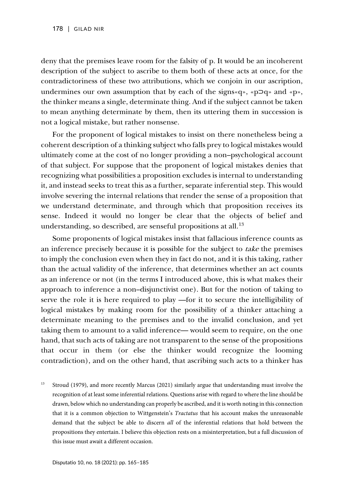deny that the premises leave room for the falsity of p. It would be an incoherent description of the subject to ascribe to them both of these acts at once, for the contradictoriness of these two attributions, which we conjoin in our ascription, undermines our own assumption that by each of the signs«q», « $p \supset q$ » and «p», the thinker means a single, determinate thing. And if the subject cannot be taken to mean anything determinate by them, then its uttering them in succession is not a logical mistake, but rather nonsense.

For the proponent of logical mistakes to insist on there nonetheless being a coherent description of a thinking subject who falls prey to logical mistakes would ultimately come at the cost of no longer providing a non–psychological account of that subject. For suppose that the proponent of logical mistakes denies that recognizing what possibilities a proposition excludes is internal to understanding it, and instead seeks to treat this as a further, separate inferential step. This would involve severing the internal relations that render the sense of a proposition that we understand determinate, and through which that proposition receives its sense. Indeed it would no longer be clear that the objects of belief and understanding, so described, are senseful propositions at all.<sup>[13](#page-13-0)</sup>

Some proponents of logical mistakes insist that fallacious inference counts as an inference precisely because it is possible for the subject to take the premises to imply the conclusion even when they in fact do not, and it is this taking, rather than the actual validity of the inference, that determines whether an act counts as an inference or not (in the terms I introduced above, this is what makes their approach to inference a non–disjunctivist one). But for the notion of taking to serve the role it is here required to play —for it to secure the intelligibility of logical mistakes by making room for the possibility of a thinker attaching a determinate meaning to the premises and to the invalid conclusion, and yet taking them to amount to a valid inference— would seem to require, on the one hand, that such acts of taking are not transparent to the sense of the propositions that occur in them (or else the thinker would recognize the looming contradiction), and on the other hand, that ascribing such acts to a thinker has

<span id="page-13-0"></span><sup>13</sup> Stroud (1979), and more recently Marcus (2021) similarly argue that understanding must involve the recognition of at least some inferential relations. Questions arise with regard to where the line should be drawn, below which no understanding can properly be ascribed, and it is worth noting in this connection that it is a common objection to Wittgenstein's *Tractatus* that his account makes the unreasonable demand that the subject be able to discern *all* of the inferential relations that hold between the propositions they entertain. I believe this objection rests on a misinterpretation, but a full discussion of this issue must await a different occasion.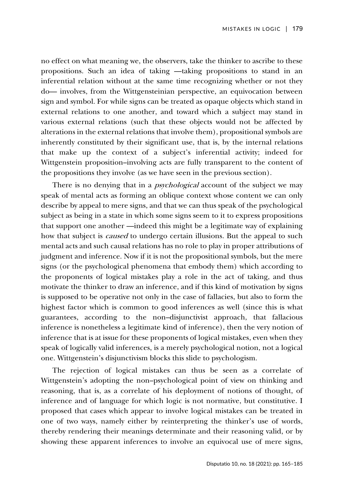no effect on what meaning we, the observers, take the thinker to ascribe to these propositions. Such an idea of taking —taking propositions to stand in an inferential relation without at the same time recognizing whether or not they do— involves, from the Wittgensteinian perspective, an equivocation between sign and symbol. For while signs can be treated as opaque objects which stand in external relations to one another, and toward which a subject may stand in various external relations (such that these objects would not be affected by alterations in the external relations that involve them), propositional symbols are inherently constituted by their significant use, that is, by the internal relations that make up the context of a subject's inferential activity; indeed for Wittgenstein proposition–involving acts are fully transparent to the content of the propositions they involve (as we have seen in the previous section).

There is no denying that in a *psychological* account of the subject we may speak of mental acts as forming an oblique context whose content we can only describe by appeal to mere signs, and that we can thus speak of the psychological subject as being in a state in which some signs seem to it to express propositions that support one another —indeed this might be a legitimate way of explaining how that subject is *caused* to undergo certain illusions. But the appeal to such mental acts and such causal relations has no role to play in proper attributions of judgment and inference. Now if it is not the propositional symbols, but the mere signs (or the psychological phenomena that embody them) which according to the proponents of logical mistakes play a role in the act of taking, and thus motivate the thinker to draw an inference, and if this kind of motivation by signs is supposed to be operative not only in the case of fallacies, but also to form the highest factor which is common to good inferences as well (since this is what guarantees, according to the non–disjunctivist approach, that fallacious inference is nonetheless a legitimate kind of inference), then the very notion of inference that is at issue for these proponents of logical mistakes, even when they speak of logically valid inferences, is a merely psychological notion, not a logical one. Wittgenstein's disjunctivism blocks this slide to psychologism.

The rejection of logical mistakes can thus be seen as a correlate of Wittgenstein's adopting the non–psychological point of view on thinking and reasoning, that is, as a correlate of his deployment of notions of thought, of inference and of language for which logic is not normative, but constitutive. I proposed that cases which appear to involve logical mistakes can be treated in one of two ways, namely either by reinterpreting the thinker's use of words, thereby rendering their meanings determinate and their reasoning valid, or by showing these apparent inferences to involve an equivocal use of mere signs,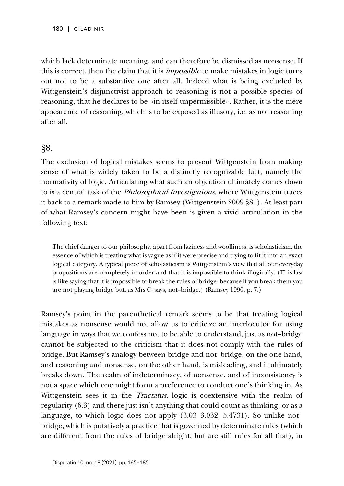which lack determinate meaning, and can therefore be dismissed as nonsense. If this is correct, then the claim that it is *impossible* to make mistakes in logic turns out not to be a substantive one after all. Indeed what is being excluded by Wittgenstein's disjunctivist approach to reasoning is not a possible species of reasoning, that he declares to be «in itself unpermissible». Rather, it is the mere appearance of reasoning, which is to be exposed as illusory, i.e. as not reasoning after all.

# §8.

The exclusion of logical mistakes seems to prevent Wittgenstein from making sense of what is widely taken to be a distinctly recognizable fact, namely the normativity of logic. Articulating what such an objection ultimately comes down to is a central task of the Philosophical Investigations, where Wittgenstein traces it back to a remark made to him by Ramsey (Wittgenstein 2009 §81). At least part of what Ramsey's concern might have been is given a vivid articulation in the following text:

The chief danger to our philosophy, apart from laziness and woolliness, is scholasticism, the essence of which is treating what is vague as if it were precise and trying to fit it into an exact logical category. A typical piece of scholasticism is Wittgenstein's view that all our everyday propositions are completely in order and that it is impossible to think illogically. (This last is like saying that it is impossible to break the rules of bridge, because if you break them you are not playing bridge but, as Mrs C. says, not–bridge.) (Ramsey 1990, p. 7.)

Ramsey's point in the parenthetical remark seems to be that treating logical mistakes as nonsense would not allow us to criticize an interlocutor for using language in ways that we confess not to be able to understand, just as not–bridge cannot be subjected to the criticism that it does not comply with the rules of bridge. But Ramsey's analogy between bridge and not–bridge, on the one hand, and reasoning and nonsense, on the other hand, is misleading, and it ultimately breaks down. The realm of indeterminacy, of nonsense, and of inconsistency is not a space which one might form a preference to conduct one's thinking in. As Wittgenstein sees it in the *Tractatus*, logic is coextensive with the realm of regularity (6.3) and there just isn't anything that could count as thinking, or as a language, to which logic does not apply (3.03–3.032, 5.4731). So unlike not– bridge, which is putatively a practice that is governed by determinate rules (which are different from the rules of bridge alright, but are still rules for all that), in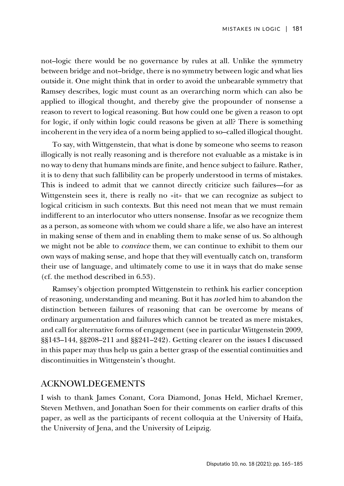not–logic there would be no governance by rules at all. Unlike the symmetry between bridge and not–bridge, there is no symmetry between logic and what lies outside it. One might think that in order to avoid the unbearable symmetry that Ramsey describes, logic must count as an overarching norm which can also be applied to illogical thought, and thereby give the propounder of nonsense a reason to revert to logical reasoning. But how could one be given a reason to opt for logic, if only within logic could reasons be given at all? There is something incoherent in the very idea of a norm being applied to so–called illogical thought.

To say, with Wittgenstein, that what is done by someone who seems to reason illogically is not really reasoning and is therefore not evaluable as a mistake is in no way to deny that humans minds are finite, and hence subject to failure. Rather, it is to deny that such fallibility can be properly understood in terms of mistakes. This is indeed to admit that we cannot directly criticize such failures—for as Wittgenstein sees it, there is really no «it» that we can recognize as subject to logical criticism in such contexts. But this need not mean that we must remain indifferent to an interlocutor who utters nonsense. Insofar as we recognize them as a person, as someone with whom we could share a life, we also have an interest in making sense of them and in enabling them to make sense of us. So although we might not be able to convince them, we can continue to exhibit to them our own ways of making sense, and hope that they will eventually catch on, transform their use of language, and ultimately come to use it in ways that do make sense (cf. the method described in 6.53).

Ramsey's objection prompted Wittgenstein to rethink his earlier conception of reasoning, understanding and meaning. But it has not led him to abandon the distinction between failures of reasoning that can be overcome by means of ordinary argumentation and failures which cannot be treated as mere mistakes, and call for alternative forms of engagement (see in particular Wittgenstein 2009, §§143–144, §§208–211 and §§241–242). Getting clearer on the issues I discussed in this paper may thus help us gain a better grasp of the essential continuities and discontinuities in Wittgenstein's thought.

#### ACKNOWLDEGEMENTS

I wish to thank James Conant, Cora Diamond, Jonas Held, Michael Kremer, Steven Methven, and Jonathan Soen for their comments on earlier drafts of this paper, as well as the participants of recent colloquia at the University of Haifa, the University of Jena, and the University of Leipzig.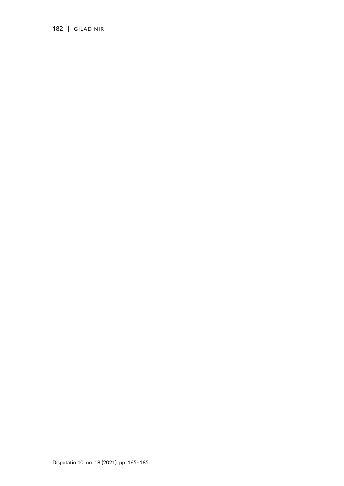# 182 | GILAD NIR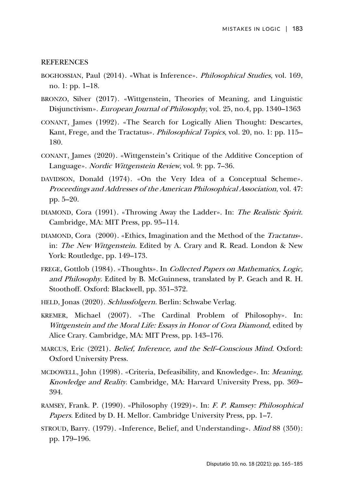REFERENCES

- BOGHOSSIAN, Paul (2014). «What is Inference». Philosophical Studies, vol. 169, no. 1: pp. 1–18.
- BRONZO, Silver (2017). «Wittgenstein, Theories of Meaning, and Linguistic Disjunctivism». European Journal of Philosophy, vol. 25, no.4, pp. 1340–1363
- CONANT, James (1992). «The Search for Logically Alien Thought: Descartes, Kant, Frege, and the Tractatus». *Philosophical Topics*, vol. 20, no. 1: pp. 115– 180.
- CONANT, James (2020). «Wittgenstein's Critique of the Additive Conception of Language». *Nordic Wittgenstein Review*, vol. 9: pp. 7–36.
- DAVIDSON, Donald (1974). «On the Very Idea of a Conceptual Scheme». Proceedings and Addresses of the American Philosophical Association, vol. 47: pp. 5–20.
- DIAMOND, Cora (1991). «Throwing Away the Ladder». In: The Realistic Spirit. Cambridge, MA: MIT Press, pp. 95–114.
- DIAMOND, Cora (2000). «Ethics, Imagination and the Method of the Tractatus». in: The New Wittgenstein. Edited by A. Crary and R. Read. London & New York: Routledge, pp. 149–173.
- FREGE, Gottlob (1984). «Thoughts». In Collected Papers on Mathematics, Logic, and Philosophy. Edited by B. McGuinness, translated by P. Geach and R. H. Stoothoff. Oxford: Blackwell, pp. 351–372.
- HELD, Jonas (2020). Schlussfolgern. Berlin: Schwabe Verlag.
- KREMER, Michael (2007). «The Cardinal Problem of Philosophy». In: Wittgenstein and the Moral Life: Essays in Honor of Cora Diamond, edited by Alice Crary. Cambridge, MA: MIT Press, pp. 143–176.
- MARCUS, Eric (2021). Belief, Inference, and the Self–Conscious Mind. Oxford: Oxford University Press.
- MCDOWELL, John (1998). «Criteria, Defeasibility, and Knowledge». In: Meaning, Knowledge and Reality. Cambridge, MA: Harvard University Press, pp. 369– 394.
- RAMSEY, Frank. P. (1990). «Philosophy (1929)». In: F. P. Ramsey: Philosophical Papers. Edited by D. H. Mellor. Cambridge University Press, pp. 1–7.
- STROUD, Barry. (1979). «Inference, Belief, and Understanding». Mind 88 (350): pp. 179–196.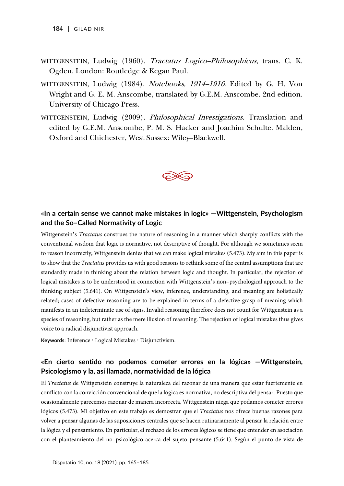184 | GILAD NIR

- WITTGENSTEIN, Ludwig (1960). Tractatus Logico–Philosophicus, trans. C. K. Ogden. London: Routledge & Kegan Paul.
- WITTGENSTEIN, Ludwig (1984). Notebooks, 1914–1916. Edited by G. H. Von Wright and G. E. M. Anscombe, translated by G.E.M. Anscombe. 2nd edition. University of Chicago Press.
- WITTGENSTEIN, Ludwig (2009). Philosophical Investigations. Translation and edited by G.E.M. Anscombe, P. M. S. Hacker and Joachim Schulte. Malden, Oxford and Chichester, West Sussex: Wiley–Blackwell.



### **«In a certain sense we cannot make mistakes in logic» —Wittgenstein, Psychologism and the So–Called Normativity of Logic**

Wittgenstein's *Tractatus* construes the nature of reasoning in a manner which sharply conflicts with the conventional wisdom that logic is normative, not descriptive of thought. For although we sometimes seem to reason incorrectly, Wittgenstein denies that we can make logical mistakes (5.473). My aim in this paper is to show that the *Tractatus* provides us with good reasons to rethink some of the central assumptions that are standardly made in thinking about the relation between logic and thought. In particular, the rejection of logical mistakes is to be understood in connection with Wittgenstein's non–psychological approach to the thinking subject (5.641). On Wittgenstein's view, inference, understanding, and meaning are holistically related; cases of defective reasoning are to be explained in terms of a defective grasp of meaning which manifests in an indeterminate use of signs. Invalid reasoning therefore does not count for Wittgenstein as a species of reasoning, but rather as the mere illusion of reasoning. The rejection of logical mistakes thus gives voice to a radical disjunctivist approach.

Keywords: Inference · Logical Mistakes · Disjunctivism.

### **«En cierto sentido no podemos cometer errores en la lógica» —Wittgenstein, Psicologismo y la, así llamada, normatividad de la lógica**

El *Tractatus* de Wittgenstein construye la naturaleza del razonar de una manera que estar fuertemente en conflicto con la convicción convencional de que la lógica es normativa, no descriptiva del pensar. Puesto que ocasionalmente parecemos razonar de manera incorrecta, Wittgenstein niega que podamos cometer errores lógicos (5.473). Mi objetivo en este trabajo es demostrar que el *Tractatus* nos ofrece buenas razones para volver a pensar algunas de las suposiciones centrales que se hacen rutinariamente al pensar la relación entre la lógica y el pensamiento. En particular, el rechazo de los errores lógicos se tiene que entender en asociación con el planteamiento del no–psicológico acerca del sujeto pensante (5.641). Según el punto de vista de